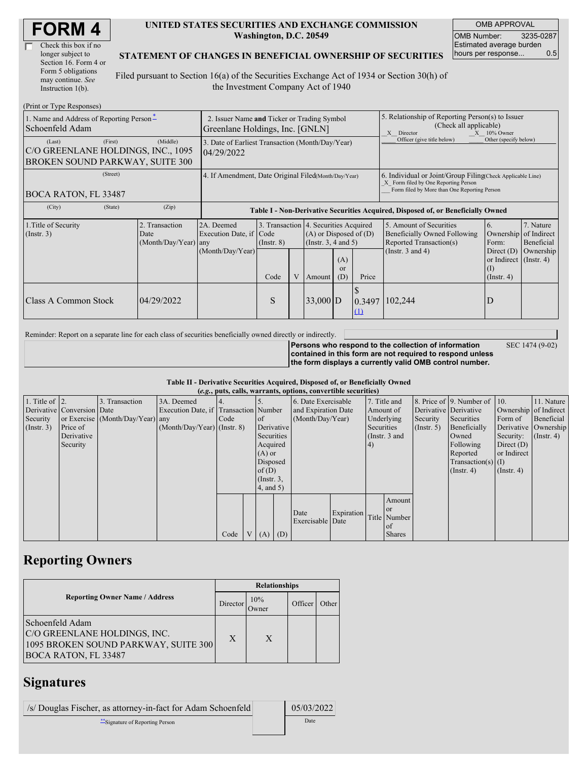| <b>FORM4</b> |
|--------------|
|--------------|

| Check this box if no  |
|-----------------------|
| longer subject to     |
| Section 16. Form 4 or |
| Form 5 obligations    |
| may continue. See     |
| Instruction 1(b).     |

#### **UNITED STATES SECURITIES AND EXCHANGE COMMISSION Washington, D.C. 20549**

OMB APPROVAL OMB Number: 3235-0287 Estimated average burden hours per response... 0.5

#### **STATEMENT OF CHANGES IN BENEFICIAL OWNERSHIP OF SECURITIES**

Filed pursuant to Section 16(a) of the Securities Exchange Act of 1934 or Section 30(h) of the Investment Company Act of 1940

| (Print or Type Responses)                                                                  |                                                                                |                                                                                  |                 |                                                                                                 |            |                        |                                                                                                                                                                                                                |                            |                                                         |  |
|--------------------------------------------------------------------------------------------|--------------------------------------------------------------------------------|----------------------------------------------------------------------------------|-----------------|-------------------------------------------------------------------------------------------------|------------|------------------------|----------------------------------------------------------------------------------------------------------------------------------------------------------------------------------------------------------------|----------------------------|---------------------------------------------------------|--|
| 1. Name and Address of Reporting Person-<br>Schoenfeld Adam                                | 2. Issuer Name and Ticker or Trading Symbol<br>Greenlane Holdings, Inc. [GNLN] |                                                                                  |                 |                                                                                                 |            |                        | 5. Relationship of Reporting Person(s) to Issuer<br>(Check all applicable)<br>X Director<br>$X = 10\%$ Owner                                                                                                   |                            |                                                         |  |
| (First)<br>(Last)<br>C/O GREENLANE HOLDINGS, INC., 1095<br>BROKEN SOUND PARKWAY, SUITE 300 | (Middle)                                                                       | 3. Date of Earliest Transaction (Month/Day/Year)<br>04/29/2022                   |                 |                                                                                                 |            |                        |                                                                                                                                                                                                                | Officer (give title below) | Other (specify below)                                   |  |
| (Street)<br>BOCA RATON, FL 33487                                                           | 4. If Amendment, Date Original Filed(Month/Day/Year)                           |                                                                                  |                 |                                                                                                 |            |                        | 6. Individual or Joint/Group Filing Check Applicable Line)<br>X Form filed by One Reporting Person<br>Form filed by More than One Reporting Person                                                             |                            |                                                         |  |
| (City)<br>(State)                                                                          | (Zip)                                                                          | Table I - Non-Derivative Securities Acquired, Disposed of, or Beneficially Owned |                 |                                                                                                 |            |                        |                                                                                                                                                                                                                |                            |                                                         |  |
| 1. Title of Security<br>(Insert. 3)                                                        | 2. Transaction<br>Date<br>(Month/Day/Year)                                     | 2A. Deemed<br>Execution Date, if Code<br>any<br>(Month/Day/Year)                 | $($ Instr. $8)$ | 3. Transaction 4. Securities Acquired<br>$(A)$ or Disposed of $(D)$<br>(Instr. $3, 4$ and $5$ ) |            |                        | 5. Amount of Securities<br>7. Nature<br>6.<br>of Indirect<br>Beneficially Owned Following<br>Ownership<br>Reported Transaction(s)<br>Beneficial<br>Form:<br>(Instr. $3$ and $4$ )<br>Ownership<br>Direct $(D)$ |                            |                                                         |  |
|                                                                                            |                                                                                |                                                                                  | Code            | V                                                                                               | Amount     | (A)<br>$\alpha$<br>(D) | Price                                                                                                                                                                                                          |                            | or Indirect $($ Instr. 4 $)$<br>(1)<br>$($ Instr. 4 $)$ |  |
| <b>Class A Common Stock</b>                                                                | 04/29/2022                                                                     |                                                                                  | S               |                                                                                                 | $33,000$ D |                        | 0.3497<br>$\Omega$                                                                                                                                                                                             | 102,244                    | D                                                       |  |

Reminder: Report on a separate line for each class of securities beneficially owned directly or indirectly.

**Persons who respond to the collection of information contained in this form are not required to respond unless the form displays a currently valid OMB control number.** SEC 1474 (9-02)

**Table II - Derivative Securities Acquired, Disposed of, or Beneficially Owned (***e.g.***, puts, calls, warrants, options, convertible securities)**

|                        | $(c, \zeta, \mu, \zeta)$ cans, warrants, options, convertible securities) |                                  |                                       |      |  |                 |                     |                     |            |            |                       |               |                              |                  |                      |
|------------------------|---------------------------------------------------------------------------|----------------------------------|---------------------------------------|------|--|-----------------|---------------------|---------------------|------------|------------|-----------------------|---------------|------------------------------|------------------|----------------------|
| 1. Title of $\vert$ 2. |                                                                           | 3. Transaction                   | 3A. Deemed                            |      |  |                 |                     | 6. Date Exercisable |            |            | 7. Title and          |               | 8. Price of 9. Number of 10. |                  | 11. Nature           |
|                        | Derivative Conversion Date                                                |                                  | Execution Date, if Transaction Number |      |  |                 | and Expiration Date |                     | Amount of  |            | Derivative Derivative |               | Ownership of Indirect        |                  |                      |
| Security               |                                                                           | or Exercise (Month/Day/Year) any |                                       | Code |  | of              |                     | (Month/Day/Year)    |            | Underlying |                       | Security      | Securities                   | Form of          | Beneficial           |
| (Insert. 3)            | Price of                                                                  |                                  | $(Month/Day/Year)$ (Instr. 8)         |      |  |                 | Derivative          |                     |            | Securities |                       | $($ Instr. 5) | Beneficially                 |                  | Derivative Ownership |
|                        | Derivative                                                                |                                  |                                       |      |  | Securities      |                     |                     |            |            | (Instr. 3 and         |               | Owned                        | Security:        | $($ Instr. 4)        |
|                        | Security                                                                  |                                  |                                       |      |  | Acquired        |                     |                     |            | 4)         |                       |               | Following                    | Direct $(D)$     |                      |
|                        |                                                                           |                                  |                                       |      |  | $(A)$ or        |                     |                     |            |            |                       |               | Reported                     | or Indirect      |                      |
|                        |                                                                           |                                  |                                       |      |  | Disposed        |                     |                     |            |            |                       |               | $Transaction(s)$ (I)         |                  |                      |
|                        |                                                                           |                                  |                                       |      |  | of(D)           |                     |                     |            |            |                       |               | $($ Instr. 4)                | $($ Instr. 4 $)$ |                      |
|                        |                                                                           |                                  |                                       |      |  | $($ Instr. 3,   |                     |                     |            |            |                       |               |                              |                  |                      |
|                        |                                                                           |                                  |                                       |      |  | $4$ , and $5$ ) |                     |                     |            |            |                       |               |                              |                  |                      |
|                        |                                                                           |                                  |                                       |      |  |                 |                     |                     |            |            | Amount                |               |                              |                  |                      |
|                        |                                                                           |                                  |                                       |      |  |                 |                     | Date                | Expiration |            | <sub>or</sub>         |               |                              |                  |                      |
|                        |                                                                           |                                  |                                       |      |  |                 |                     | Exercisable Date    |            |            | Title Number          |               |                              |                  |                      |
|                        |                                                                           |                                  |                                       |      |  |                 |                     |                     |            |            | $\alpha$ f            |               |                              |                  |                      |
|                        |                                                                           |                                  |                                       | Code |  | V(A)            | (D)                 |                     |            |            | <b>Shares</b>         |               |                              |                  |                      |

# **Reporting Owners**

|                                                                                                                        | <b>Relationships</b> |              |         |       |  |  |  |
|------------------------------------------------------------------------------------------------------------------------|----------------------|--------------|---------|-------|--|--|--|
| <b>Reporting Owner Name / Address</b>                                                                                  | Director             | 10%<br>Jwner | Officer | Other |  |  |  |
| Schoenfeld Adam<br>C/O GREENLANE HOLDINGS, INC.<br>1095 BROKEN SOUND PARKWAY, SUITE 300<br><b>BOCA RATON, FL 33487</b> | X                    | X            |         |       |  |  |  |

# **Signatures**

| /s/ Douglas Fischer, as attorney-in-fact for Adam Schoenfeld | 05/03/2022 |
|--------------------------------------------------------------|------------|
| "Signature of Reporting Person"                              | Date       |